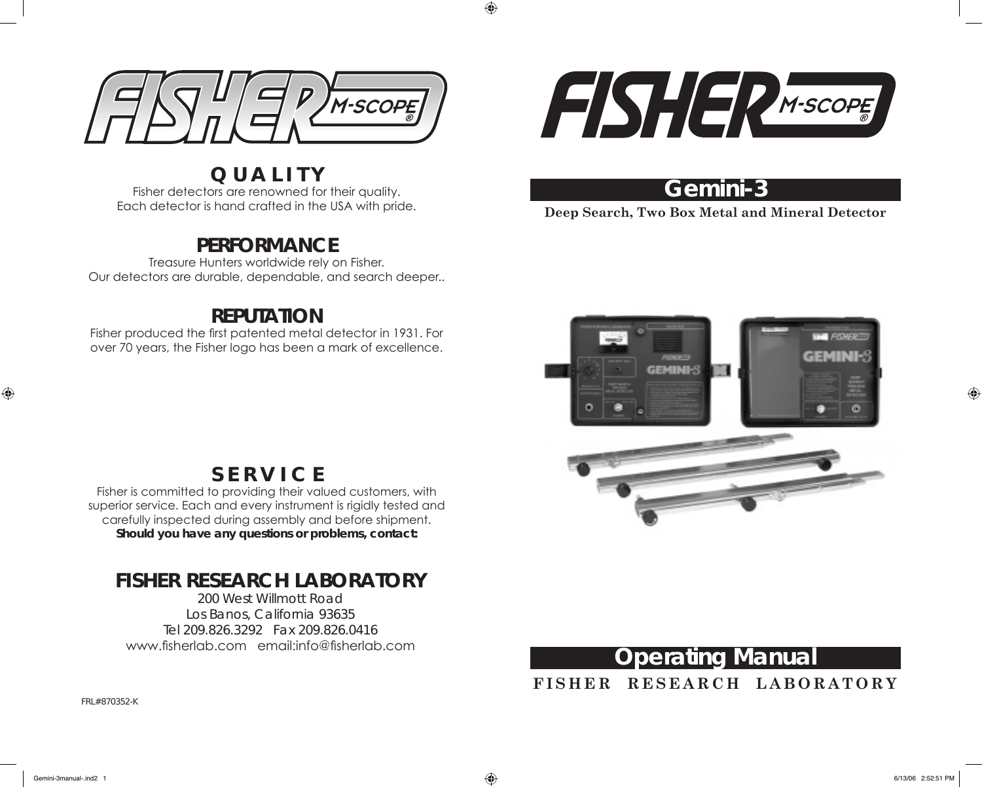

**Q U A L I T Y** Fisher detectors are renowned for their quality. Each detector is hand crafted in the USA with pride.

### **PERFORMANCE**

Treasure Hunters worldwide rely on Fisher. Our detectors are durable, dependable, and search deeper..

### **REPUTATION**

Fisher produced the first patented metal detector in 1931. For over 70 years, the Fisher logo has been a mark of excellence.



### **Gemini-3**

**Deep Search, Two Box Metal and Mineral Detector**



### **S E R V I C E**

Fisher is committed to providing their valued customers, with superior service. Each and every instrument is rigidly tested and carefully inspected during assembly and before shipment. **Should you have any questions or problems, contact:**

## **FISHER RESEARCH LABORATORY**

200 West Willmott Road Los Banos, California 93635 Tel 209.826.3292 Fax 209.826.0416 www.fisherlab.com email:info@fisherlab.com



**F I S H E R R E S E A R C H L A B O R A T O R Y**

FRL#870352-K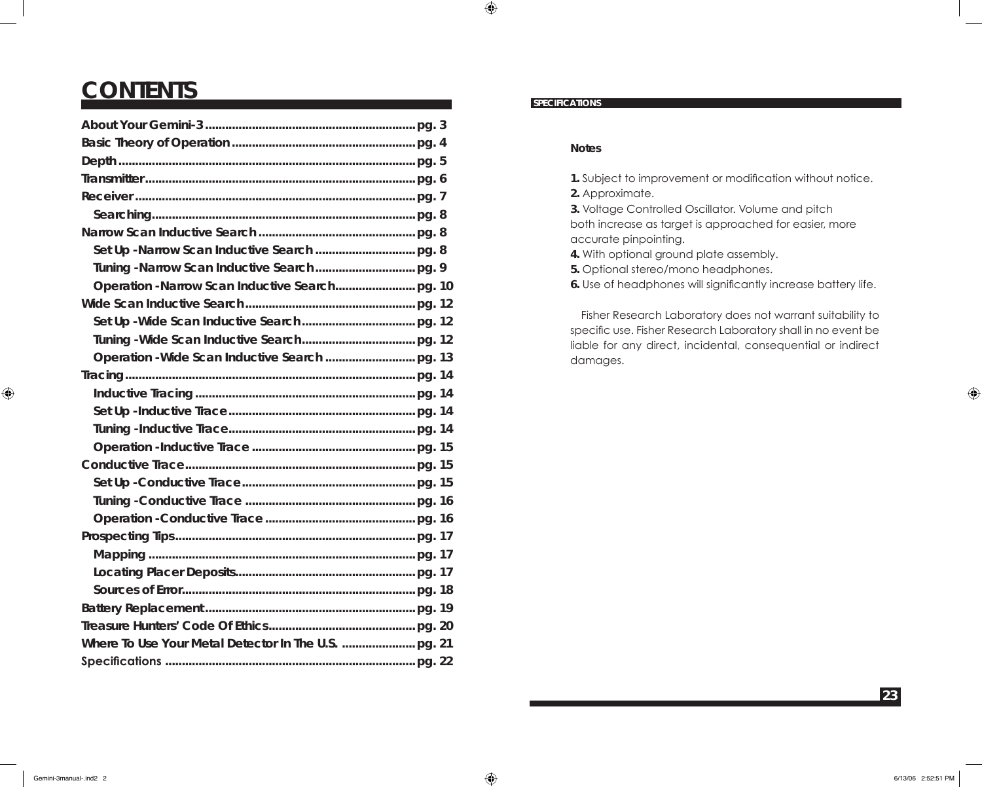## **CONTENTS**

#### **SPECIFICATIONS**

 $\bigoplus$ 

#### **Notes**

**1.** Subject to improvement or modification without notice.

**2.** Approximate.

**3.** Voltage Controlled Oscillator. Volume and pitch both increase as target is approached for easier, more accurate pinpointing.

**4.** With optional ground plate assembly.

**5.** Optional stereo/mono headphones.

**6.** Use of headphones will significantly increase battery life.

 Fisher Research Laboratory does not warrant suitability to specific use. Fisher Research Laboratory shall in no event be liable for any direct, incidental, consequential or indirect damages.

 $\bigoplus$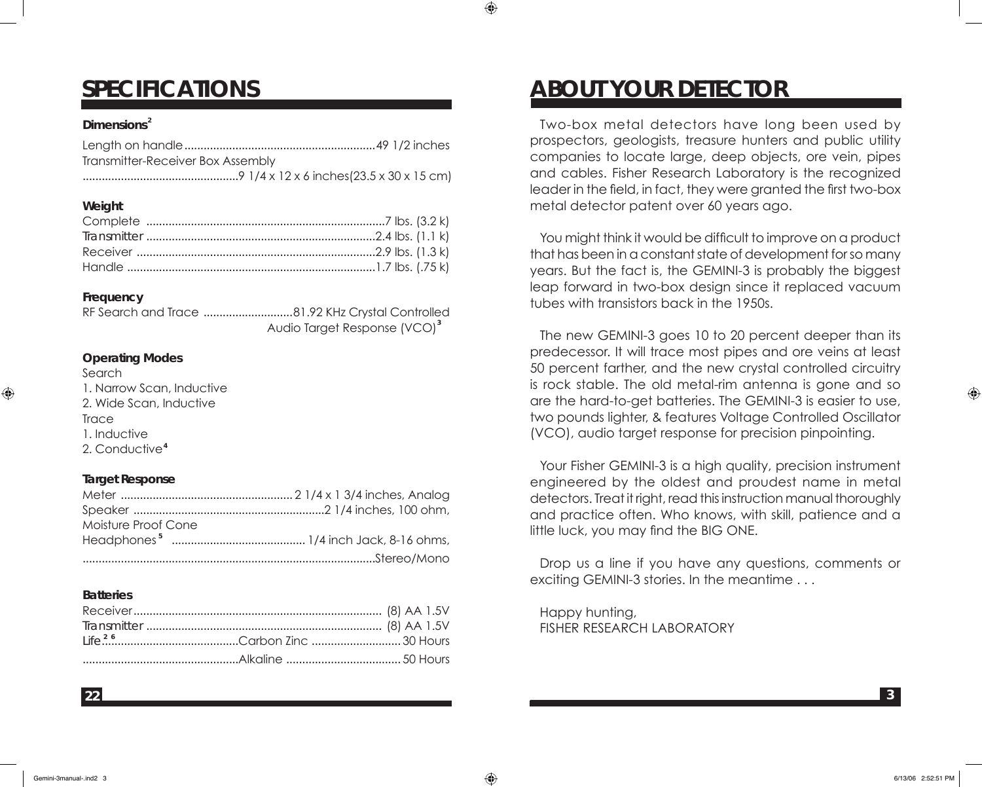#### **Dimensions 2**

**SPECIFICATIONS**

| Transmitter-Receiver Box Assembly |  |
|-----------------------------------|--|
|                                   |  |

#### **Weight**

#### **Frequency**

⊕

RF Search and Trace ............................81.92 KHz Crystal Controlled Audio Target Response (VCO)<sup>3</sup>

#### **Operating Modes**

Search 1. Narrow Scan, Inductive 2. Wide Scan, Inductive **Trace** 1. Inductive 2. Conductive **4**

#### **Target Response**

| Moisture Proof Cone |  |
|---------------------|--|
|                     |  |
|                     |  |

#### **Batteries**

**22**

# **ABOUT YOUR DETECTOR**

Two-box metal detectors have long been used by prospectors, geologists, treasure hunters and public utility companies to locate large, deep objects, ore vein, pipes and cables. Fisher Research Laboratory is the recognized leader in the field, in fact, they were granted the first two-box metal detector patent over 60 years ago.

You might think it would be difficult to improve on a product that has been in a constant state of development for so many years. But the fact is, the GEMINI-3 is probably the biggest leap forward in two-box design since it replaced vacuum tubes with transistors back in the 1950s.

The new GEMINI-3 goes 10 to 20 percent deeper than its predecessor. It will trace most pipes and ore veins at least 50 percent farther, and the new crystal controlled circuitry is rock stable. The old metal-rim antenna is gone and so are the hard-to-get batteries. The GEMINI-3 is easier to use, two pounds lighter, & features Voltage Controlled Oscillator (VCO), audio target response for precision pinpointing.

Your Fisher GEMINI-3 is a high quality, precision instrument engineered by the oldest and proudest name in metal detectors. Treat it right, read this instruction manual thoroughly and practice often. Who knows, with skill, patience and a little luck, you may find the BIG ONE.

Drop us a line if you have any questions, comments or exciting GEMINI-3 stories. In the meantime . . .

Happy hunting, FISHER RESEARCH LABORATORY ⊕

**3**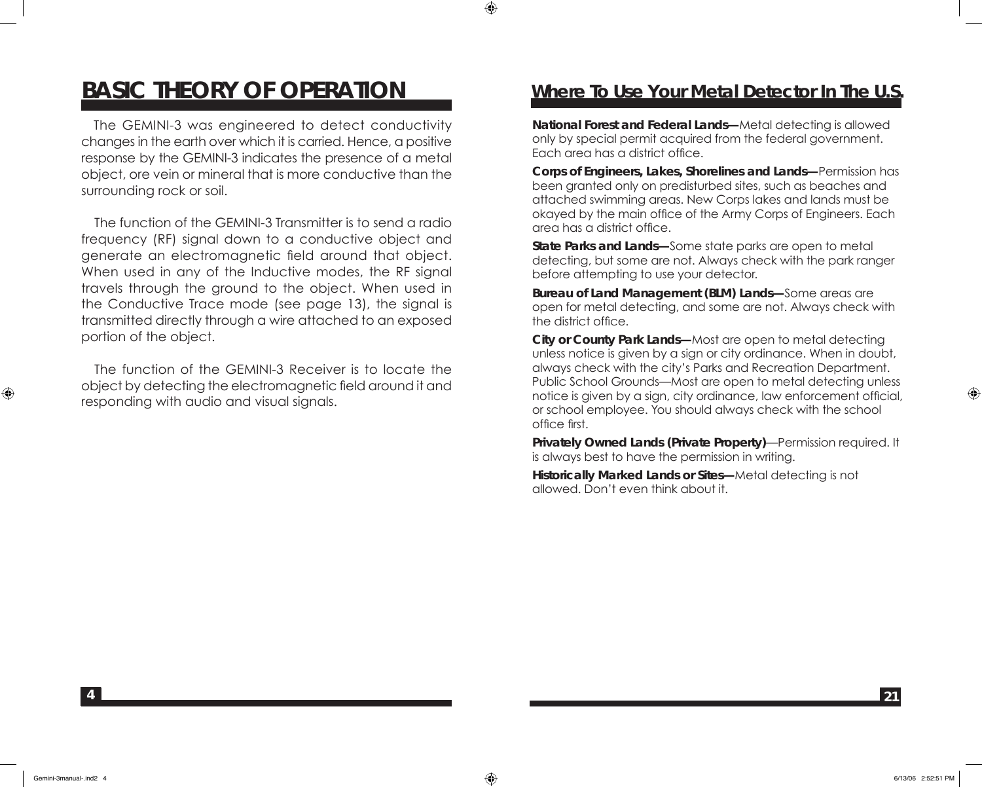### **BASIC THEORY OF OPERATION**

 The GEMINI-3 was engineered to detect conductivity changes in the earth over which it is carried. Hence, a positive response by the GEMINI-3 indicates the presence of a metal object, ore vein or mineral that is more conductive than the surrounding rock or soil.

 The function of the GEMINI-3 Transmitter is to send a radio frequency (RF) signal down to a conductive object and generate an electromagnetic field around that object. When used in any of the Inductive modes, the RF signal travels through the ground to the object. When used in the Conductive Trace mode (see page 13), the signal is transmitted directly through a wire attached to an exposed portion of the object.

 The function of the GEMINI-3 Receiver is to locate the object by detecting the electromagnetic field around it and responding with audio and visual signals.

#### **Where To Use Your Metal Detector In The U.S.**

**National Forest and Federal Lands—**Metal detecting is allowed only by special permit acquired from the federal government. Each area has a district office.

**Corps of Engineers, Lakes, Shorelines and Lands—**Permission has been granted only on predisturbed sites, such as beaches and attached swimming areas. New Corps lakes and lands must be okayed by the main office of the Army Corps of Engineers. Each area has a district office.

**State Parks and Lands—**Some state parks are open to metal detecting, but some are not. Always check with the park ranger before attempting to use your detector.

**Bureau of Land Management (BLM) Lands—**Some areas are open for metal detecting, and some are not. Always check with the district office.

**City or County Park Lands—**Most are open to metal detecting unless notice is given by a sign or city ordinance. When in doubt, always check with the city's Parks and Recreation Department. Public School Grounds—Most are open to metal detecting unless notice is given by a sign, city ordinance, law enforcement official, or school employee. You should always check with the school office first.

**Privately Owned Lands (Private Property)**—Permission required. It is always best to have the permission in writing.

**Historically Marked Lands or Sites—**Metal detecting is not allowed. Don't even think about it.

**4**

⊕

⊕

**21**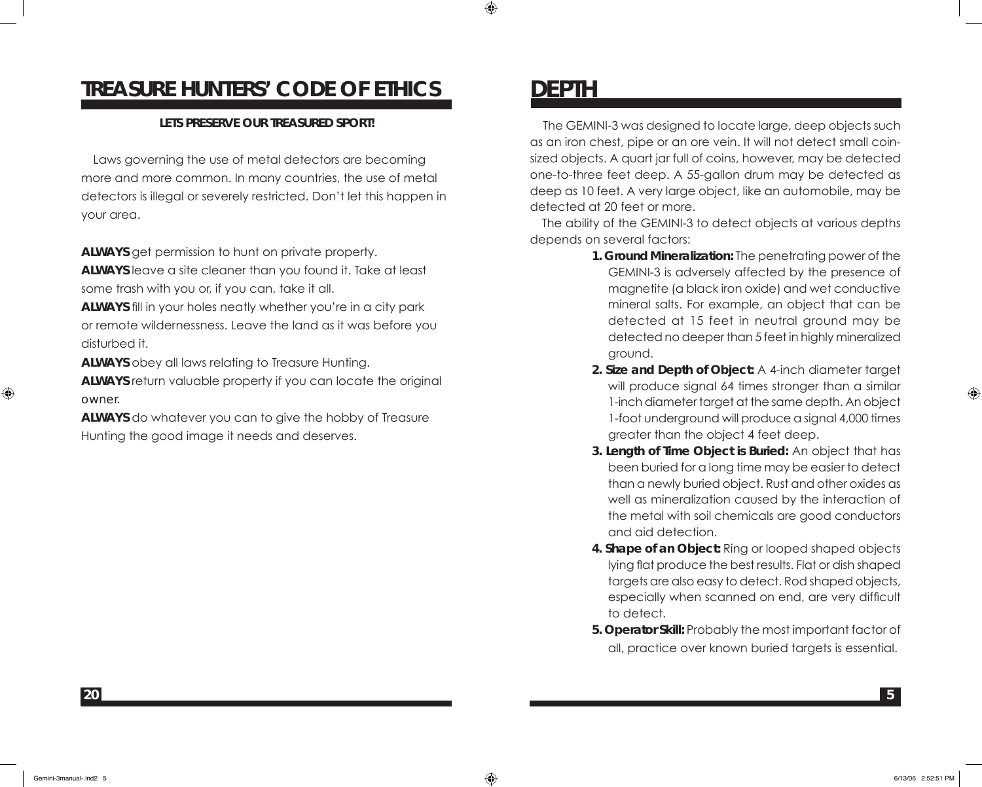### **TREASURE HUNTERS' CODE OF ETHICS**

#### **LETS PRESERVE OUR TREASURED SPORT!**

 Laws governing the use of metal detectors are becoming more and more common. In many countries, the use of metal detectors is illegal or severely restricted. Don't let this happen in your area.

**ALWAYS** get permission to hunt on private property.

**ALWAYS** leave a site cleaner than you found it. Take at least some trash with you or, if you can, take it all.

**ALWAYS** fill in your holes neatly whether you're in a city park or remote wildernessness. Leave the land as it was before you disturbed it.

**ALWAYS** obey all laws relating to Treasure Hunting.

**ALWAYS** return valuable property if you can locate the original owner.

**ALWAYS** do whatever you can to give the hobby of Treasure Hunting the good image it needs and deserves.

### **DEPTH**

⊕

 The GEMINI-3 was designed to locate large, deep objects such as an iron chest, pipe or an ore vein. It will not detect small coinsized objects. A quart jar full of coins, however, may be detected one-to-three feet deep. A 55-gallon drum may be detected as deep as 10 feet. A very large object, like an automobile, may be detected at 20 feet or more.

 The ability of the GEMINI-3 to detect objects at various depths depends on several factors:

- **1. Ground Mineralization:** The penetrating power of the GEMINI-3 is adversely affected by the presence of magnetite (a black iron oxide) and wet conductive mineral salts. For example, an object that can be detected at 15 feet in neutral ground may be detected no deeper than 5 feet in highly mineralized ground.
- **2. Size and Depth of Object:** A 4-inch diameter target will produce signal 64 times stronger than a similar 1-inch diameter target at the same depth. An object 1-foot underground will produce a signal 4,000 times greater than the object 4 feet deep.
- **3. Length of Time Object is Buried:** An object that has been buried for a long time may be easier to detect than a newly buried object. Rust and other oxides as well as mineralization caused by the interaction of the metal with soil chemicals are good conductors and aid detection.
- **4. Shape of an Object:** Ring or looped shaped objects lying flat produce the best results. Flat or dish shaped targets are also easy to detect. Rod shaped objects, especially when scanned on end, are very difficult to detect.
- **5. Operator Skill:** Probably the most important factor of all, practice over known buried targets is essential.

**20**

 $\bigoplus$ 

⊕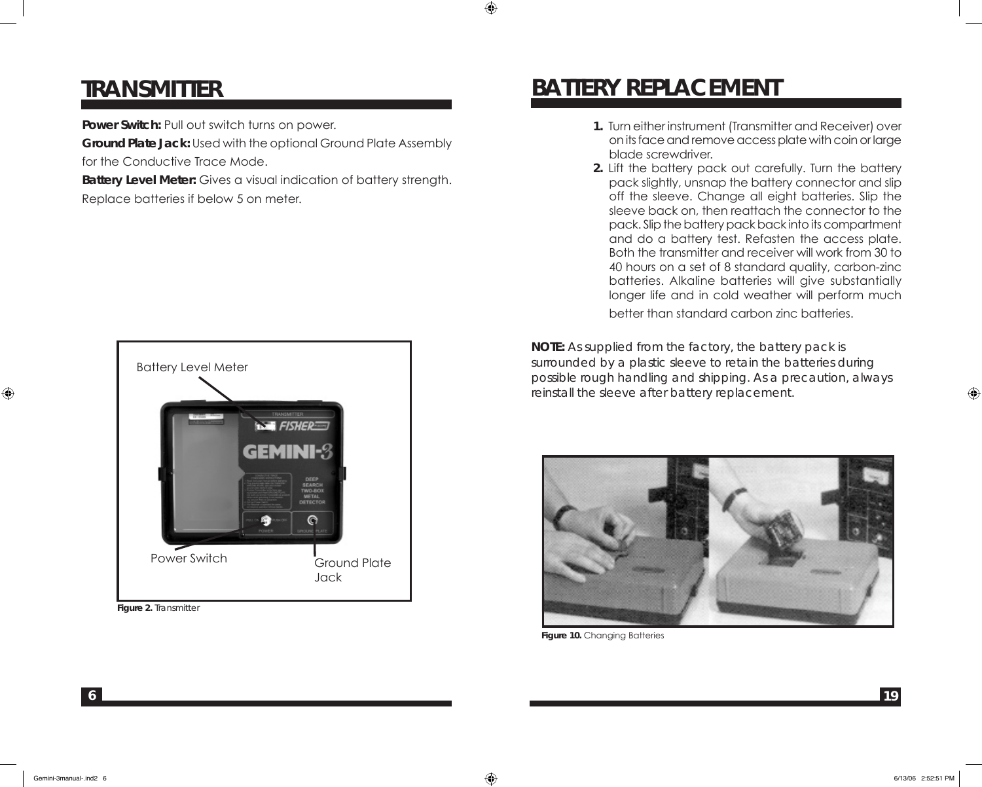### **TRANSMITTER**

**Power Switch: Pull out switch turns on power.** 

**Ground Plate Jack:** Used with the optional Ground Plate Assembly for the Conductive Trace Mode.

**Battery Level Meter:** Gives a visual indication of battery strength. Replace batteries if below 5 on meter.



**Figure 2.** Transmitter

# **BATTERY REPLACEMENT**

⊕

- **1.** Turn either instrument (Transmitter and Receiver) over on its face and remove access plate with coin or large blade screwdriver.
- **2.** Lift the battery pack out carefully. Turn the battery pack slightly, unsnap the battery connector and slip off the sleeve. Change all eight batteries. Slip the sleeve back on, then reattach the connector to the pack. Slip the battery pack back into its compartment and do a battery test. Refasten the access plate. Both the transmitter and receiver will work from 30 to 40 hours on a set of 8 standard quality, carbon-zinc batteries. Alkaline batteries will give substantially longer life and in cold weather will perform much

better than standard carbon zinc batteries.

*NOTE: As supplied from the factory, the battery pack is surrounded by a plastic sleeve to retain the batteries during possible rough handling and shipping. As a precaution, always reinstall the sleeve after battery replacement.*



**Figure 10.** Changing Batteries

⊕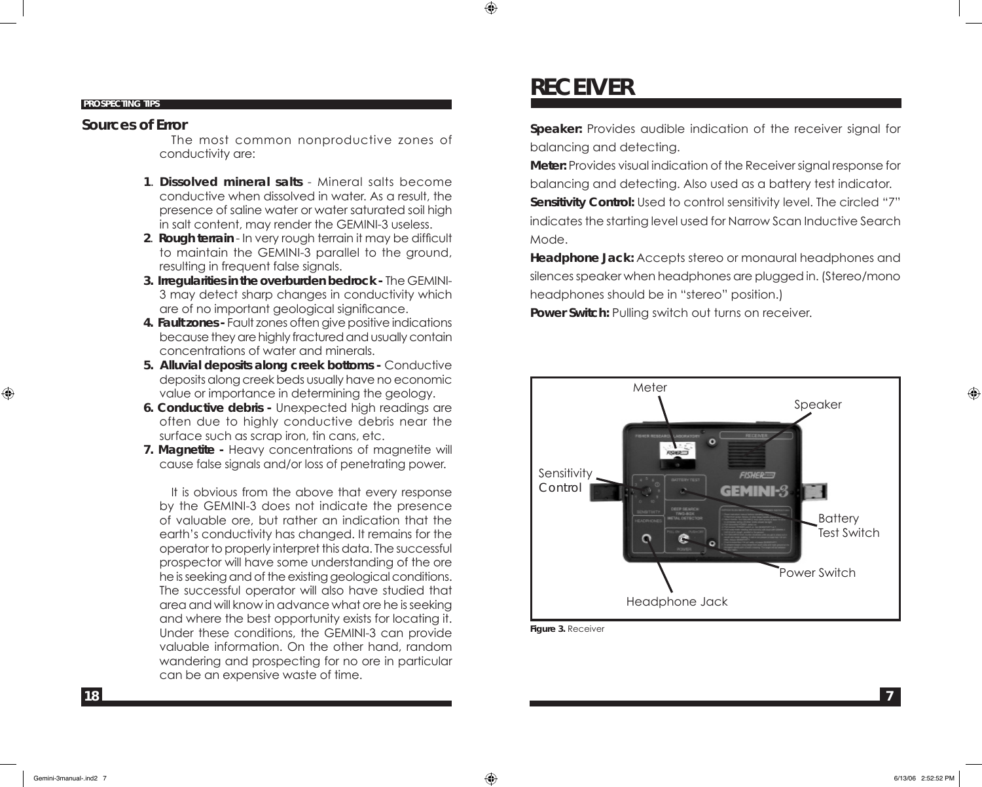#### **PROSPECTING TIPS**

#### **Sources of Error**

 The most common nonproductive zones of conductivity are:

- **1**. **Dissolved mineral salts**  Mineral salts become conductive when dissolved in water. As a result, the presence of saline water or water saturated soil high in salt content, may render the GEMINI-3 useless.
- **2**. **Rough terrain** In very rough terrain it may be difficult to maintain the GEMINI-3 parallel to the ground, resulting in frequent false signals.
- **3. Irregularities in the overburden bedrock -** The GEMINI-3 may detect sharp changes in conductivity which are of no important geological significance.
- **4. Fault zones -** Fault zones often give positive indications because they are highly fractured and usually contain concentrations of water and minerals.
- **5. Alluvial deposits along creek bottoms** Conductive deposits along creek beds usually have no economic value or importance in determining the geology.
- **6. Conductive debris -** Unexpected high readings are often due to highly conductive debris near the surface such as scrap iron, tin cans, etc.
- **7. Magnetite** Heavy concentrations of magnetite will cause false signals and/or loss of penetrating power.

 It is obvious from the above that every response by the GEMINI-3 does not indicate the presence of valuable ore, but rather an indication that the earth's conductivity has changed. It remains for the operator to properly interpret this data. The successful prospector will have some understanding of the ore he is seeking and of the existing geological conditions. The successful operator will also have studied that area and will know in advance what ore he is seeking and where the best opportunity exists for locating it. Under these conditions, the GEMINI-3 can provide valuable information. On the other hand, random wandering and prospecting for no ore in particular can be an expensive waste of time.

## **RECEIVER**

**Speaker:** Provides audible indication of the receiver signal for balancing and detecting.

**Meter:** Provides visual indication of the Receiver signal response for balancing and detecting. Also used as a battery test indicator. **Sensitivity Control:** Used to control sensitivity level. The circled "7" indicates the starting level used for Narrow Scan Inductive Search Mode.

**Headphone Jack:** Accepts stereo or monaural headphones and silences speaker when headphones are plugged in. (Stereo/mono headphones should be in "stereo" position.) **Power Switch:** Pulling switch out turns on receiver.



**Figure 3.** Receiver

 $\textcircled{\scriptsize\textsf{t}}$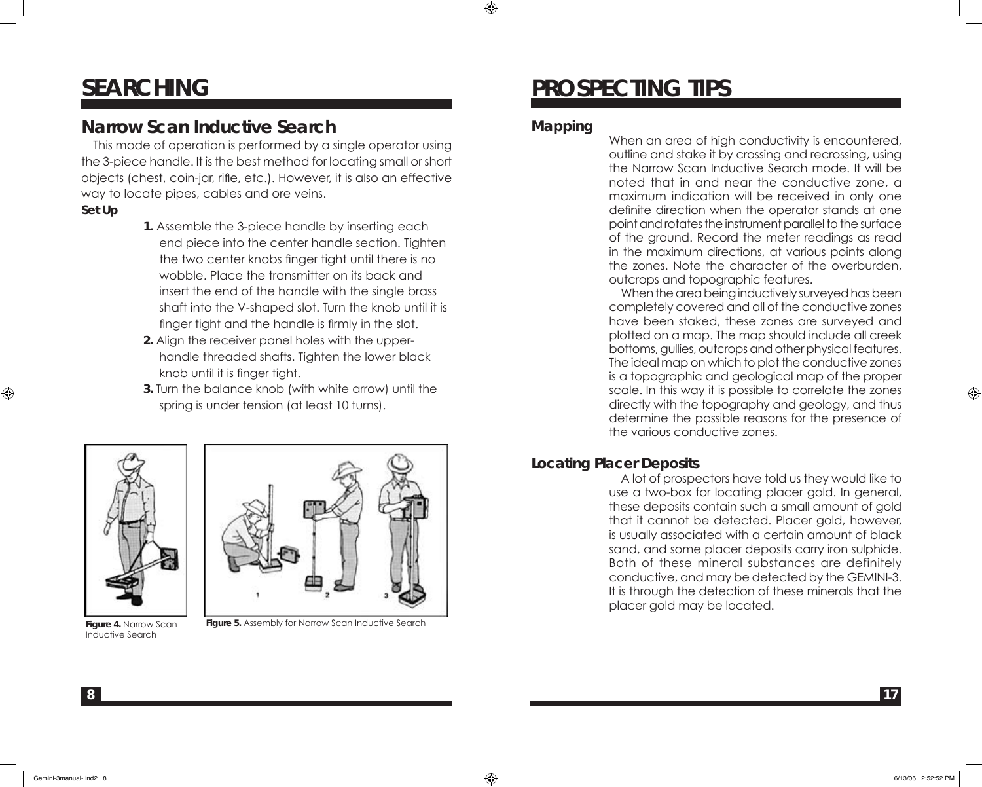# **SEARCHING**

### **Narrow Scan Inductive Search**

 This mode of operation is performed by a single operator using the 3-piece handle. It is the best method for locating small or short objects (chest, coin-jar, rifle, etc.). However, it is also an effective way to locate pipes, cables and ore veins.

#### **Set Up**

⊕

- **1.** Assemble the 3-piece handle by inserting each end piece into the center handle section. Tighten the two center knobs finger tight until there is no wobble. Place the transmitter on its back and insert the end of the handle with the single brass shaft into the V-shaped slot. Turn the knob until it is finger tight and the handle is firmly in the slot.
- **2.** Align the receiver panel holes with the upperhandle threaded shafts. Tighten the lower black knob until it is finger tight.
- **3.** Turn the balance knob (with white arrow) until the spring is under tension (at least 10 turns).





**Figure 4.** Narrow Scan Inductive Search

**Figure 5.** Assembly for Narrow Scan Inductive Search

# **PROSPECTING TIPS**

#### **Mapping**

When an area of high conductivity is encountered, outline and stake it by crossing and recrossing, using the Narrow Scan Inductive Search mode. It will be noted that in and near the conductive zone, a maximum indication will be received in only one definite direction when the operator stands at one point and rotates the instrument parallel to the surface of the ground. Record the meter readings as read in the maximum directions, at various points along the zones. Note the character of the overburden, outcrops and topographic features.

 When the area being inductively surveyed has been completely covered and all of the conductive zones have been staked, these zones are surveyed and plotted on a map. The map should include all creek bottoms, gullies, outcrops and other physical features. The ideal map on which to plot the conductive zones is a topographic and geological map of the proper scale. In this way it is possible to correlate the zones directly with the topography and geology, and thus determine the possible reasons for the presence of the various conductive zones.

#### **Locating Placer Deposits**

 A lot of prospectors have told us they would like to use a two-box for locating placer gold. In general, these deposits contain such a small amount of gold that it cannot be detected. Placer gold, however, is usually associated with a certain amount of black sand, and some placer deposits carry iron sulphide. Both of these mineral substances are definitely conductive, and may be detected by the GEMINI-3. It is through the detection of these minerals that the placer gold may be located.

**8**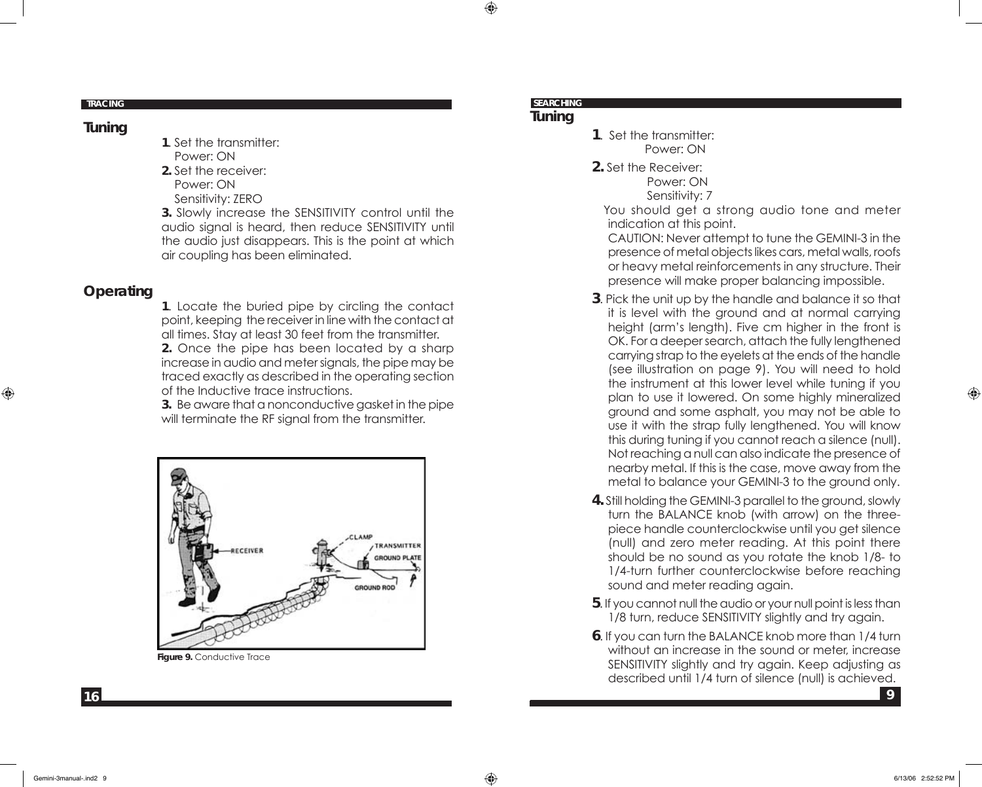#### **TRACING**

#### **Tuning**

- **1**. Set the transmitter: Power: ON
- **2.** Set the receiver: Power: ON
- Sensitivity: ZERO

**3.** Slowly increase the SENSITIVITY control until the audio signal is heard, then reduce SENSITIVITY until the audio just disappears. This is the point at which air coupling has been eliminated.

#### **Operating**

⊕

**1**. Locate the buried pipe by circling the contact point, keeping the receiver in line with the contact at all times. Stay at least 30 feet from the transmitter. **2.** Once the pipe has been located by a sharp increase in audio and meter signals, the pipe may be traced exactly as described in the operating section of the Inductive trace instructions.

**3.** Be aware that a nonconductive gasket in the pipe will terminate the RF signal from the transmitter.



**Figure 9.** Conductive Trace

#### **SEARCHING**

#### **Tuning**

- **1**. Set the transmitter: Power: ON
- **2.** Set the Receiver: Power: ON

Sensitivity: 7

 You should get a strong audio tone and meter indication at this point.

CAUTION: Never attempt to tune the GEMINI-3 in the presence of metal objects likes cars, metal walls, roofs or heavy metal reinforcements in any structure. Their presence will make proper balancing impossible.

- **3**. Pick the unit up by the handle and balance it so that it is level with the ground and at normal carrying height (arm's length). Five cm higher in the front is OK. For a deeper search, attach the fully lengthened carrying strap to the eyelets at the ends of the handle (see illustration on page 9). You will need to hold the instrument at this lower level while tuning if you plan to use it lowered. On some highly mineralized ground and some asphalt, you may not be able to use it with the strap fully lengthened. You will know this during tuning if you cannot reach a silence (null). Not reaching a null can also indicate the presence of nearby metal. If this is the case, move away from the metal to balance your GEMINI-3 to the ground only.
- **4.** Still holding the GEMINI-3 parallel to the ground, slowly turn the BALANCE knob (with arrow) on the threepiece handle counterclockwise until you get silence (null) and zero meter reading. At this point there should be no sound as you rotate the knob 1/8- to 1/4-turn further counterclockwise before reaching sound and meter reading again.
- **5**. If you cannot null the audio or your null point is less than 1/8 turn, reduce SENSITIVITY slightly and try again.
- **6**. If you can turn the BALANCE knob more than 1/4 turn without an increase in the sound or meter, increase SENSITIVITY slightly and try again. Keep adjusting as described until 1/4 turn of silence (null) is achieved.

**16**

♠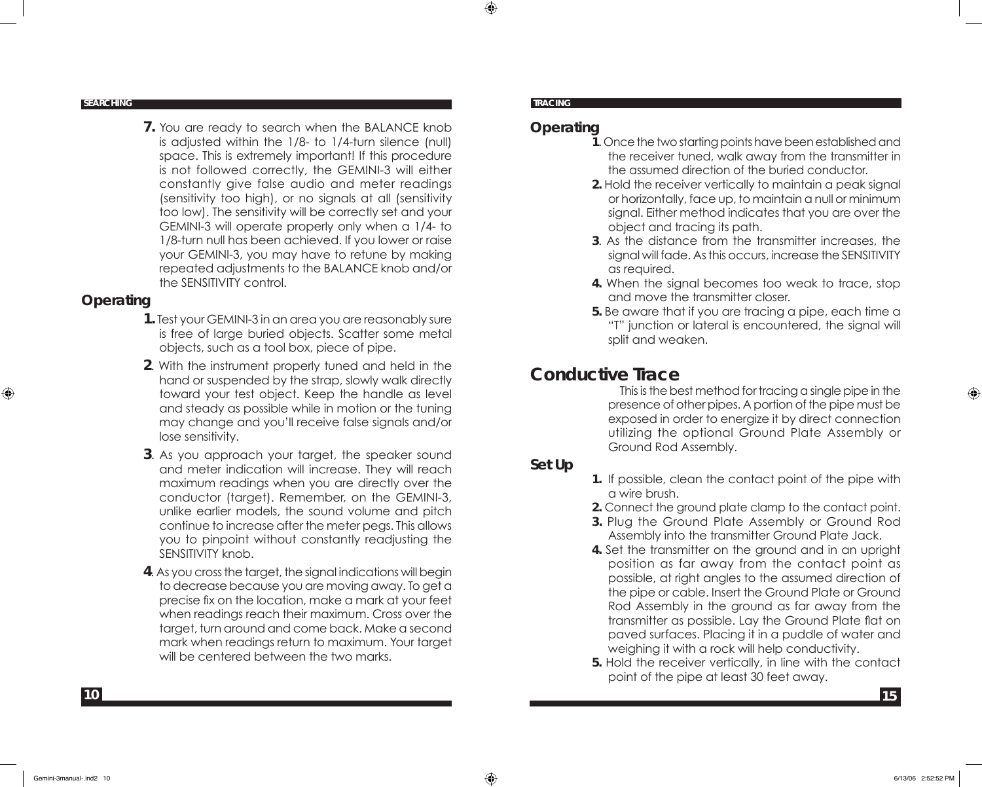**SEARCHING**

**7.** You are ready to search when the BALANCE knob is adjusted within the 1/8- to 1/4-turn silence (null) space. This is extremely important! If this procedure is not followed correctly, the GEMINI-3 will either constantly give false audio and meter readings (sensitivity too high), or no signals at all (sensitivity too low). The sensitivity will be correctly set and your GEMINI-3 will operate properly only when a 1/4- to 1/8-turn null has been achieved. If you lower or raise your GEMINI-3, you may have to retune by making repeated adjustments to the BALANCE knob and/or the SENSITIVITY control.

#### **Operating**

⊕

- **1.** Test your GEMINI-3 in an area you are reasonably sure is free of large buried objects. Scatter some metal objects, such as a tool box, piece of pipe.
- **2**. With the instrument properly tuned and held in the hand or suspended by the strap, slowly walk directly toward your test object. Keep the handle as level and steady as possible while in motion or the tuning may change and you'll receive false signals and/or lose sensitivity.
- **3**. As you approach your target, the speaker sound and meter indication will increase. They will reach maximum readings when you are directly over the conductor (target). Remember, on the GEMINI-3, unlike earlier models, the sound volume and pitch continue to increase after the meter pegs. This allows you to pinpoint without constantly readjusting the SENSITIVITY knob.
- **4**. As you cross the target, the signal indications will begin to decrease because you are moving away. To get a precise fix on the location, make a mark at your feet when readings reach their maximum. Cross over the target, turn around and come back. Make a second mark when readings return to maximum. Your target will be centered between the two marks.

#### **TRACING**

⊕

#### **Operating**

- **1**. Once the two starting points have been established and the receiver tuned, walk away from the transmitter in the assumed direction of the buried conductor.
- **2.** Hold the receiver vertically to maintain a peak signal or horizontally, face up, to maintain a null or minimum signal. Either method indicates that you are over the object and tracing its path.
- **3**. As the distance from the transmitter increases, the signal will fade. As this occurs, increase the SENSITIVITY as required.
- **4.** When the signal becomes too weak to trace, stop and move the transmitter closer.
- **5.** Be aware that if you are tracing a pipe, each time a "T" junction or lateral is encountered, the signal will split and weaken.

### **Conductive Trace**

 This is the best method for tracing a single pipe in the presence of other pipes. A portion of the pipe must be exposed in order to energize it by direct connection utilizing the optional Ground Plate Assembly or Ground Rod Assembly.

#### **Set Up**

- **1.** If possible, clean the contact point of the pipe with a wire brush.
- **2.** Connect the ground plate clamp to the contact point.
- **3.** Plug the Ground Plate Assembly or Ground Rod Assembly into the transmitter Ground Plate Jack.
- **4.** Set the transmitter on the ground and in an upright position as far away from the contact point as possible, at right angles to the assumed direction of the pipe or cable. Insert the Ground Plate or Ground Rod Assembly in the ground as far away from the transmitter as possible. Lay the Ground Plate flat on paved surfaces. Placing it in a puddle of water and weighing it with a rock will help conductivity.
- **5.** Hold the receiver vertically, in line with the contact point of the pipe at least 30 feet away.

**10**

⊕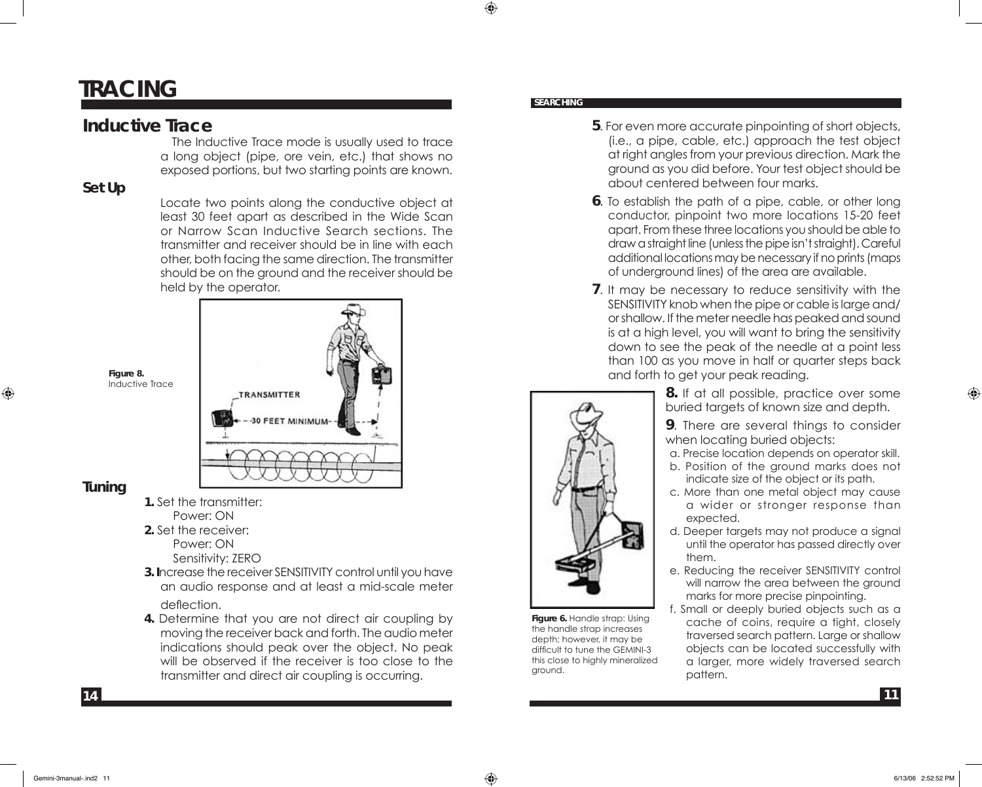### **TRACING**

#### **Inductive Trace**

 The Inductive Trace mode is usually used to trace a long object (pipe, ore vein, etc.) that shows no exposed portions, but two starting points are known.

#### **Set Up**

Locate two points along the conductive object at least 30 feet apart as described in the Wide Scan or Narrow Scan Inductive Search sections. The transmitter and receiver should be in line with each other, both facing the same direction. The transmitter should be on the ground and the receiver should be held by the operator.



# **Tuning**

⊕

**Figure 8.**  Inductive Trace

- **1.** Set the transmitter:
- Power: ON **2.** Set the receiver:
- Power: ON Sensitivity: ZERO
- **3. I**ncrease the receiver SENSITIVITY control until you have an audio response and at least a mid-scale meter deflection.
- **4.** Determine that you are not direct air coupling by moving the receiver back and forth. The audio meter indications should peak over the object. No peak will be observed if the receiver is too close to the transmitter and direct air coupling is occurring.

#### **SEARCHING**

⊕

- **5**. For even more accurate pinpointing of short objects, (i.e., a pipe, cable, etc.) approach the test object at right angles from your previous direction. Mark the ground as you did before. Your test object should be about centered between four marks.
- **6**. To establish the path of a pipe, cable, or other long conductor, pinpoint two more locations 15-20 feet apart. From these three locations you should be able to draw a straight line (unless the pipe isn't straight). Careful additional locations may be necessary if no prints (maps of underground lines) of the area are available.
- **7**. It may be necessary to reduce sensitivity with the SENSITIVITY knob when the pipe or cable is large and/ or shallow. If the meter needle has peaked and sound is at a high level, you will want to bring the sensitivity down to see the peak of the needle at a point less than 100 as you move in half or quarter steps back and forth to get your peak reading.



**Figure 6.** Handle strap: Using the handle strap increases depth; however, it may be difficult to tune the GEMINI-3 this close to highly mineralized ground.

- **8.** If at all possible, practice over some buried targets of known size and depth.
- **9**. There are several things to consider when locating buried objects:
- a. Precise location depends on operator skill. b. Position of the ground marks does not
- indicate size of the object or its path.
- c. More than one metal object may cause a wider or stronger response than expected.
- d. Deeper targets may not produce a signal until the operator has passed directly over them.
- e. Reducing the receiver SENSITIVITY control will narrow the area between the ground marks for more precise pinpointing.
- f. Small or deeply buried objects such as a cache of coins, require a tight, closely traversed search pattern. Large or shallow objects can be located successfully with a larger, more widely traversed search pattern.